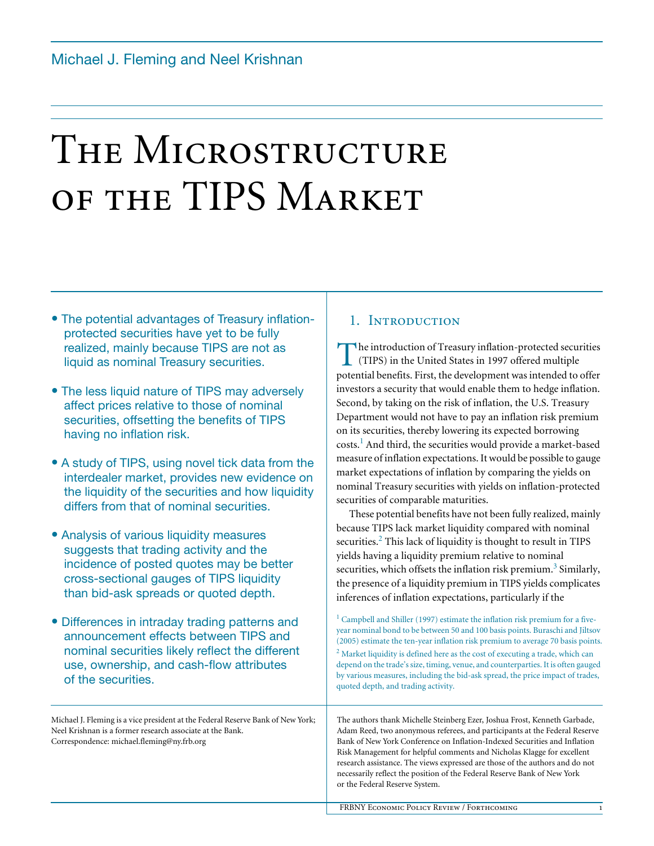# THE MICROSTRUCTURE OF THE TIPS MARKET

- The potential advantages of Treasury inflationprotected securities have yet to be fully realized, mainly because TIPS are not as liquid as nominal Treasury securities.
- The less liquid nature of TIPS may adversely affect prices relative to those of nominal securities, offsetting the benefits of TIPS having no inflation risk.
- A study of TIPS, using novel tick data from the interdealer market, provides new evidence on the liquidity of the securities and how liquidity differs from that of nominal securities.
- Analysis of various liquidity measures suggests that trading activity and the incidence of posted quotes may be better cross-sectional gauges of TIPS liquidity than bid-ask spreads or quoted depth.
- Differences in intraday trading patterns and announcement effects between TIPS and nominal securities likely reflect the different use, ownership, and cash-flow attributes of the securities.

Michael J. Fleming is a vice president at the Federal Reserve Bank of New York; Neel Krishnan is a former research associate at the Bank. Correspondence: michael.fleming@ny.frb.org

## 1. INTRODUCTION

The introduction of Treasury inflation-protected securities<br>
(TIPS) in the United States in 1997 offered multiple<br>
material handful First, the developments on intended to effect (TIPS) in the United States in 1997 offered multiple potential benefits. First, the development was intended to offer investors a security that would enable them to hedge inflation. Second, by taking on the risk of inflation, the U.S. Treasury Department would not have to pay an inflation risk premium on its securities, thereby lowering its expected borrowing costs.<sup>1</sup> And third, the securities would provide a market-based measure of inflation expectations. It would be possible to gauge market expectations of inflation by comparing the yields on nominal Treasury securities with yields on inflation-protected securities of comparable maturities.

These potential benefits have not been fully realized, mainly because TIPS lack market liquidity compared with nominal securities.<sup>2</sup> This lack of liquidity is thought to result in TIPS yields having a liquidity premium relative to nominal securities, which offsets the inflation risk premium.<sup>3</sup> Similarly, the presence of a liquidity premium in TIPS yields complicates inferences of inflation expectations, particularly if the

<sup>1</sup> Campbell and Shiller (1997) estimate the inflation risk premium for a fiveyear nominal bond to be between 50 and 100 basis points. Buraschi and Jiltsov (2005) estimate the ten-year inflation risk premium to average 70 basis points.  $2^2$  Market liquidity is defined here as the cost of executing a trade, which can depend on the trade's size, timing, venue, and counterparties. It is often gauged by various measures, including the bid-ask spread, the price impact of trades, quoted depth, and trading activity.

The authors thank Michelle Steinberg Ezer, Joshua Frost, Kenneth Garbade, Adam Reed, two anonymous referees, and participants at the Federal Reserve Bank of New York Conference on Inflation-Indexed Securities and Inflation Risk Management for helpful comments and Nicholas Klagge for excellent research assistance. The views expressed are those of the authors and do not necessarily reflect the position of the Federal Reserve Bank of New York or the Federal Reserve System.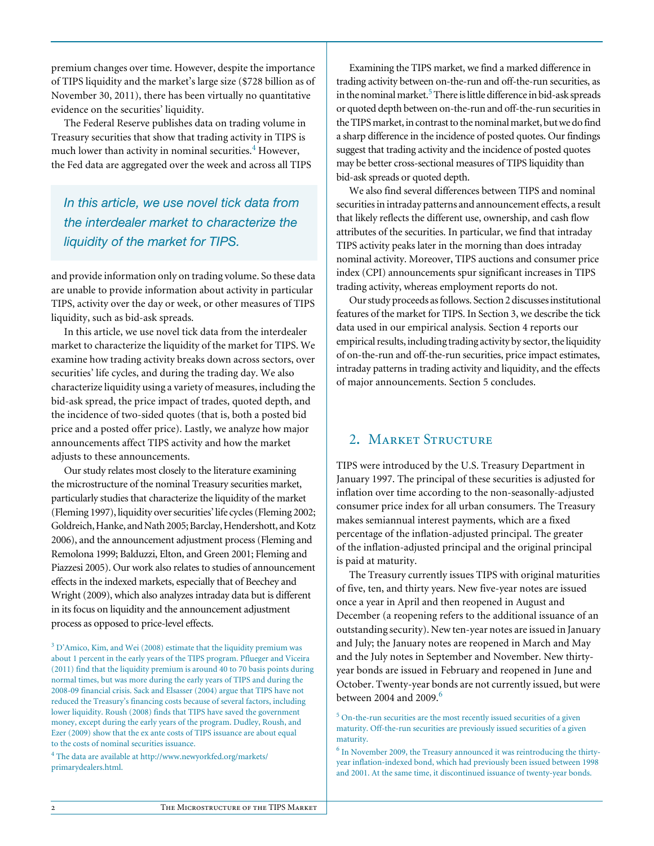premium changes over time. However, despite the importance of TIPS liquidity and the market's large size (\$728 billion as of November 30, 2011), there has been virtually no quantitative evidence on the securities' liquidity.

The Federal Reserve publishes data on trading volume in Treasury securities that show that trading activity in TIPS is much lower than activity in nominal securities.<sup>4</sup> However, the Fed data are aggregated over the week and across all TIPS

*In this article, we use novel tick data from the interdealer market to characterize the liquidity of the market for TIPS.* 

and provide information only on trading volume. So these data are unable to provide information about activity in particular TIPS, activity over the day or week, or other measures of TIPS liquidity, such as bid-ask spreads.

In this article, we use novel tick data from the interdealer market to characterize the liquidity of the market for TIPS. We examine how trading activity breaks down across sectors, over securities' life cycles, and during the trading day. We also characterize liquidity using a variety of measures, including the bid-ask spread, the price impact of trades, quoted depth, and the incidence of two-sided quotes (that is, both a posted bid price and a posted offer price). Lastly, we analyze how major announcements affect TIPS activity and how the market adjusts to these announcements.

Our study relates most closely to the literature examining the microstructure of the nominal Treasury securities market, particularly studies that characterize the liquidity of the market (Fleming 1997), liquidity over securities' life cycles (Fleming 2002; Goldreich, Hanke, and Nath 2005; Barclay, Hendershott, and Kotz 2006), and the announcement adjustment process (Fleming and Remolona 1999; Balduzzi, Elton, and Green 2001; Fleming and Piazzesi 2005). Our work also relates to studies of announcement effects in the indexed markets, especially that of Beechey and Wright (2009), which also analyzes intraday data but is different in its focus on liquidity and the announcement adjustment process as opposed to price-level effects.

 $3$  D'Amico, Kim, and Wei (2008) estimate that the liquidity premium was about 1 percent in the early years of the TIPS program. Pflueger and Viceira (2011) find that the liquidity premium is around 40 to 70 basis points during normal times, but was more during the early years of TIPS and during the 2008-09 financial crisis. Sack and Elsasser (2004) argue that TIPS have not reduced the Treasury's financing costs because of several factors, including lower liquidity. Roush (2008) finds that TIPS have saved the government money, except during the early years of the program. Dudley, Roush, and Ezer (2009) show that the ex ante costs of TIPS issuance are about equal to the costs of nominal securities issuance.

<sup>4</sup> The data are available at http://www.newyorkfed.org/markets/ primarydealers.html.

Examining the TIPS market, we find a marked difference in trading activity between on-the-run and off-the-run securities, as in the nominal market.<sup>5</sup> There is little difference in bid-ask spreads or quoted depth between on-the-run and off-the-run securities in the TIPS market, in contrast to the nominal market, but we do find a sharp difference in the incidence of posted quotes. Our findings suggest that trading activity and the incidence of posted quotes may be better cross-sectional measures of TIPS liquidity than bid-ask spreads or quoted depth.

We also find several differences between TIPS and nominal securities in intraday patterns and announcement effects, a result that likely reflects the different use, ownership, and cash flow attributes of the securities. In particular, we find that intraday TIPS activity peaks later in the morning than does intraday nominal activity. Moreover, TIPS auctions and consumer price index (CPI) announcements spur significant increases in TIPS trading activity, whereas employment reports do not.

Our study proceeds as follows. Section 2 discusses institutional features of the market for TIPS. In Section 3, we describe the tick data used in our empirical analysis. Section 4 reports our empirical results, including trading activity by sector, the liquidity of on-the-run and off-the-run securities, price impact estimates, intraday patterns in trading activity and liquidity, and the effects of major announcements. Section 5 concludes.

# 2**.** Market Structure

TIPS were introduced by the U.S. Treasury Department in January 1997. The principal of these securities is adjusted for inflation over time according to the non-seasonally-adjusted consumer price index for all urban consumers. The Treasury makes semiannual interest payments, which are a fixed percentage of the inflation-adjusted principal. The greater of the inflation-adjusted principal and the original principal is paid at maturity.

The Treasury currently issues TIPS with original maturities of five, ten, and thirty years. New five-year notes are issued once a year in April and then reopened in August and December (a reopening refers to the additional issuance of an outstanding security). New ten-year notes are issued in January and July; the January notes are reopened in March and May and the July notes in September and November. New thirtyyear bonds are issued in February and reopened in June and October. Twenty-year bonds are not currently issued, but were between 2004 and 2009<sup>6</sup>

 $5$  On-the-run securities are the most recently issued securities of a given maturity. Off-the-run securities are previously issued securities of a given maturity.

 $<sup>6</sup>$  In November 2009, the Treasury announced it was reintroducing the thirty-</sup> year inflation-indexed bond, which had previously been issued between 1998 and 2001. At the same time, it discontinued issuance of twenty-year bonds.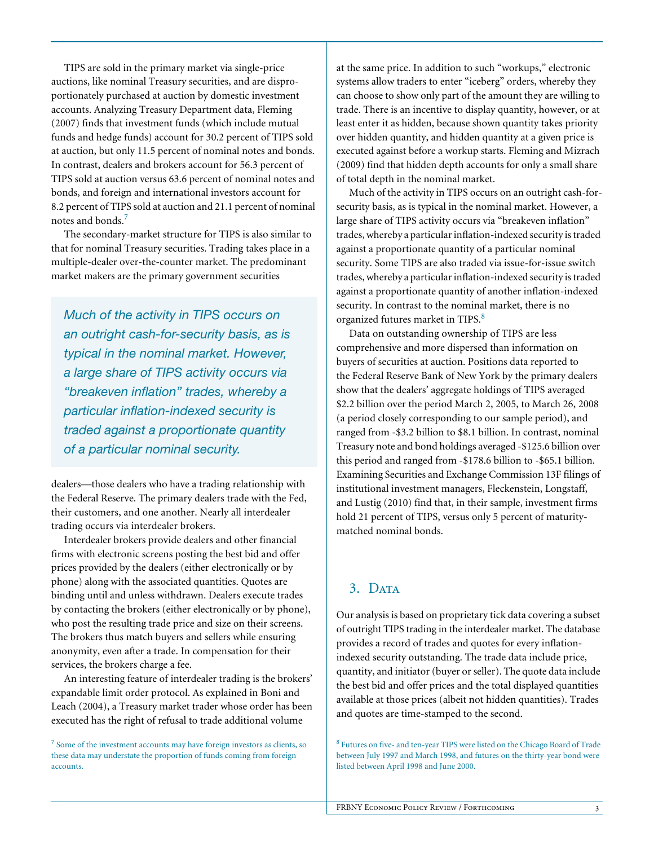TIPS are sold in the primary market via single-price auctions, like nominal Treasury securities, and are disproportionately purchased at auction by domestic investment accounts. Analyzing Treasury Department data, Fleming (2007) finds that investment funds (which include mutual funds and hedge funds) account for 30.2 percent of TIPS sold at auction, but only 11.5 percent of nominal notes and bonds. In contrast, dealers and brokers account for 56.3 percent of TIPS sold at auction versus 63.6 percent of nominal notes and bonds, and foreign and international investors account for 8.2 percent of TIPS sold at auction and 21.1 percent of nominal notes and bonds.<sup>7</sup>

The secondary-market structure for TIPS is also similar to that for nominal Treasury securities. Trading takes place in a multiple-dealer over-the-counter market. The predominant market makers are the primary government securities

*Much of the activity in TIPS occurs on an outright cash-for-security basis, as is typical in the nominal market. However, a large share of TIPS activity occurs via "breakeven inflation" trades, whereby a particular inflation-indexed security is traded against a proportionate quantity of a particular nominal security.*

dealers—those dealers who have a trading relationship with the Federal Reserve. The primary dealers trade with the Fed, their customers, and one another. Nearly all interdealer trading occurs via interdealer brokers.

Interdealer brokers provide dealers and other financial firms with electronic screens posting the best bid and offer prices provided by the dealers (either electronically or by phone) along with the associated quantities. Quotes are binding until and unless withdrawn. Dealers execute trades by contacting the brokers (either electronically or by phone), who post the resulting trade price and size on their screens. The brokers thus match buyers and sellers while ensuring anonymity, even after a trade. In compensation for their services, the brokers charge a fee.

An interesting feature of interdealer trading is the brokers' expandable limit order protocol. As explained in Boni and Leach (2004), a Treasury market trader whose order has been executed has the right of refusal to trade additional volume

<sup>7</sup> Some of the investment accounts may have foreign investors as clients, so these data may understate the proportion of funds coming from foreign accounts.

at the same price. In addition to such "workups," electronic systems allow traders to enter "iceberg" orders, whereby they can choose to show only part of the amount they are willing to trade. There is an incentive to display quantity, however, or at least enter it as hidden, because shown quantity takes priority over hidden quantity, and hidden quantity at a given price is executed against before a workup starts. Fleming and Mizrach (2009) find that hidden depth accounts for only a small share of total depth in the nominal market.

Much of the activity in TIPS occurs on an outright cash-forsecurity basis, as is typical in the nominal market. However, a large share of TIPS activity occurs via "breakeven inflation" trades, whereby a particular inflation-indexed security is traded against a proportionate quantity of a particular nominal security. Some TIPS are also traded via issue-for-issue switch trades, whereby a particular inflation-indexed security is traded against a proportionate quantity of another inflation-indexed security. In contrast to the nominal market, there is no organized futures market in TIPS.<sup>8</sup>

Data on outstanding ownership of TIPS are less comprehensive and more dispersed than information on buyers of securities at auction. Positions data reported to the Federal Reserve Bank of New York by the primary dealers show that the dealers' aggregate holdings of TIPS averaged \$2.2 billion over the period March 2, 2005, to March 26, 2008 (a period closely corresponding to our sample period), and ranged from -\$3.2 billion to \$8.1 billion. In contrast, nominal Treasury note and bond holdings averaged -\$125.6 billion over this period and ranged from -\$178.6 billion to -\$65.1 billion. Examining Securities and Exchange Commission 13F filings of institutional investment managers, Fleckenstein, Longstaff, and Lustig (2010) find that, in their sample, investment firms hold 21 percent of TIPS, versus only 5 percent of maturitymatched nominal bonds.

## 3. DATA

Our analysis is based on proprietary tick data covering a subset of outright TIPS trading in the interdealer market. The database provides a record of trades and quotes for every inflationindexed security outstanding. The trade data include price, quantity, and initiator (buyer or seller). The quote data include the best bid and offer prices and the total displayed quantities available at those prices (albeit not hidden quantities). Trades and quotes are time-stamped to the second.

<sup>8</sup> Futures on five- and ten-year TIPS were listed on the Chicago Board of Trade between July 1997 and March 1998, and futures on the thirty-year bond were listed between April 1998 and June 2000.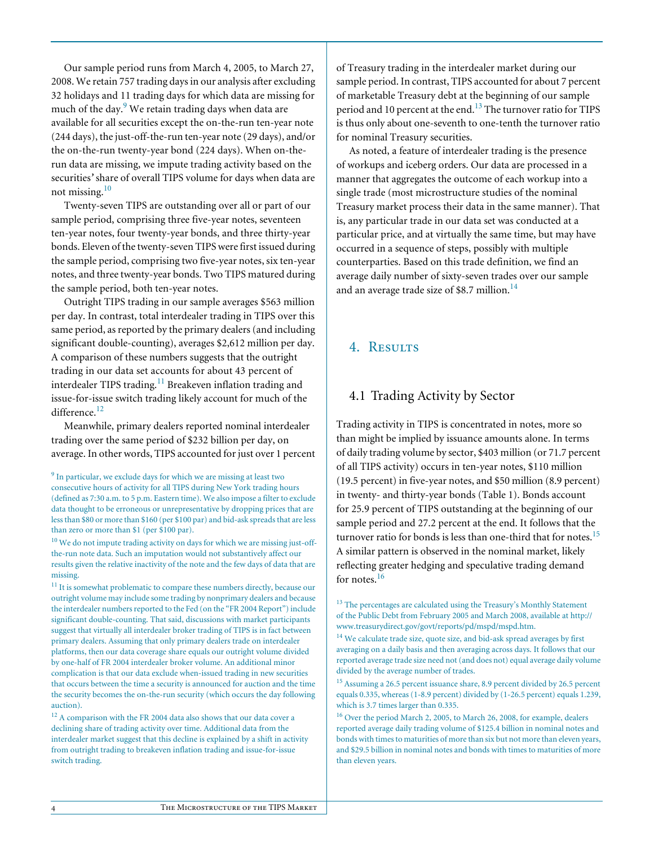Our sample period runs from March 4, 2005, to March 27, 2008. We retain 757 trading days in our analysis after excluding 32 holidays and 11 trading days for which data are missing for much of the day. $9$  We retain trading days when data are available for all securities except the on-the-run ten-year note (244 days), the just-off-the-run ten-year note (29 days), and/or the on-the-run twenty-year bond (224 days). When on-therun data are missing, we impute trading activity based on the securities*'* share of overall TIPS volume for days when data are not missing.<sup>10</sup>

Twenty-seven TIPS are outstanding over all or part of our sample period, comprising three five-year notes, seventeen ten-year notes, four twenty-year bonds, and three thirty-year bonds. Eleven of the twenty-seven TIPS were first issued during the sample period, comprising two five-year notes, six ten-year notes, and three twenty-year bonds. Two TIPS matured during the sample period, both ten-year notes.

Outright TIPS trading in our sample averages \$563 million per day. In contrast, total interdealer trading in TIPS over this same period, as reported by the primary dealers (and including significant double-counting), averages \$2,612 million per day. A comparison of these numbers suggests that the outright trading in our data set accounts for about 43 percent of interdealer TIPS trading.<sup>11</sup> Breakeven inflation trading and issue-for-issue switch trading likely account for much of the difference.<sup>12</sup>

Meanwhile, primary dealers reported nominal interdealer trading over the same period of \$232 billion per day, on average. In other words, TIPS accounted for just over 1 percent

 $10$  We do not impute trading activity on days for which we are missing just-offthe-run note data. Such an imputation would not substantively affect our results given the relative inactivity of the note and the few days of data that are missing.

<sup>11</sup> It is somewhat problematic to compare these numbers directly, because our outright volume may include some trading by nonprimary dealers and because the interdealer numbers reported to the Fed (on the "FR 2004 Report") include significant double-counting. That said, discussions with market participants suggest that virtually all interdealer broker trading of TIPS is in fact between primary dealers. Assuming that only primary dealers trade on interdealer platforms, then our data coverage share equals our outright volume divided by one-half of FR 2004 interdealer broker volume. An additional minor complication is that our data exclude when-issued trading in new securities that occurs between the time a security is announced for auction and the time the security becomes the on-the-run security (which occurs the day following auction).

 $^{12}$  A comparison with the FR 2004 data also shows that our data cover a declining share of trading activity over time. Additional data from the interdealer market suggest that this decline is explained by a shift in activity from outright trading to breakeven inflation trading and issue-for-issue switch trading.

of Treasury trading in the interdealer market during our sample period. In contrast, TIPS accounted for about 7 percent of marketable Treasury debt at the beginning of our sample period and 10 percent at the end.<sup>13</sup> The turnover ratio for TIPS is thus only about one-seventh to one-tenth the turnover ratio for nominal Treasury securities.

As noted, a feature of interdealer trading is the presence of workups and iceberg orders. Our data are processed in a manner that aggregates the outcome of each workup into a single trade (most microstructure studies of the nominal Treasury market process their data in the same manner). That is, any particular trade in our data set was conducted at a particular price, and at virtually the same time, but may have occurred in a sequence of steps, possibly with multiple counterparties. Based on this trade definition, we find an average daily number of sixty-seven trades over our sample and an average trade size of \$8.7 million. $^{14}$ 

## 4. RESULTS

## 4.1 Trading Activity by Sector

Trading activity in TIPS is concentrated in notes, more so than might be implied by issuance amounts alone. In terms of daily trading volume by sector, \$403 million (or 71.7 percent of all TIPS activity) occurs in ten-year notes, \$110 million (19.5 percent) in five-year notes, and \$50 million (8.9 percent) in twenty- and thirty-year bonds (Table 1). Bonds account for 25.9 percent of TIPS outstanding at the beginning of our sample period and 27.2 percent at the end. It follows that the turnover ratio for bonds is less than one-third that for notes.<sup>15</sup> A similar pattern is observed in the nominal market, likely reflecting greater hedging and speculative trading demand for notes.<sup>16</sup>

 $^{13}$  The percentages are calculated using the Treasury's Monthly Statement of the Public Debt from February 2005 and March 2008, available at http:// www.treasurydirect.gov/govt/reports/pd/mspd/mspd.htm.

<sup>&</sup>lt;sup>9</sup> In particular, we exclude days for which we are missing at least two consecutive hours of activity for all TIPS during New York trading hours (defined as 7:30 a.m. to 5 p.m. Eastern time). We also impose a filter to exclude data thought to be erroneous or unrepresentative by dropping prices that are less than \$80 or more than \$160 (per \$100 par) and bid-ask spreads that are less than zero or more than \$1 (per \$100 par).

<sup>&</sup>lt;sup>14</sup> We calculate trade size, quote size, and bid-ask spread averages by first averaging on a daily basis and then averaging across days. It follows that our reported average trade size need not (and does not) equal average daily volume divided by the average number of trades.

<sup>&</sup>lt;sup>15</sup> Assuming a 26.5 percent issuance share, 8.9 percent divided by 26.5 percent equals 0.335, whereas (1-8.9 percent) divided by (1-26.5 percent) equals 1.239, which is 3.7 times larger than 0.335.

<sup>16</sup> Over the period March 2, 2005, to March 26, 2008, for example, dealers reported average daily trading volume of \$125.4 billion in nominal notes and bonds with times to maturities of more than six but not more than eleven years, and \$29.5 billion in nominal notes and bonds with times to maturities of more than eleven years.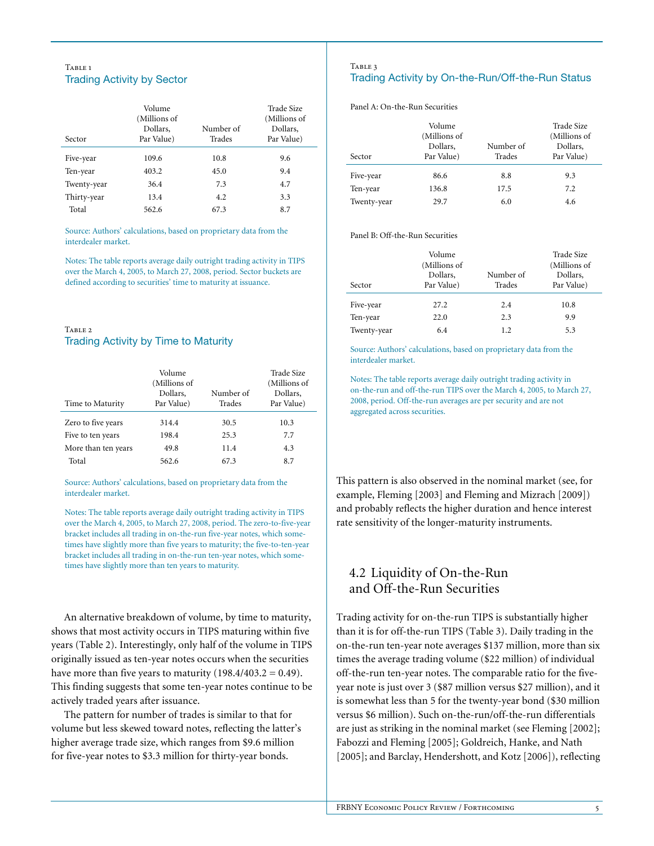#### TABLE<sub>1</sub> Trading Activity by Sector

| Sector      | Volume<br>(Millions of<br>Dollars,<br>Par Value) | Number of<br>Trades | Trade Size<br>(Millions of<br>Dollars,<br>Par Value) |
|-------------|--------------------------------------------------|---------------------|------------------------------------------------------|
| Five-year   | 109.6                                            | 10.8                | 9.6                                                  |
| Ten-year    | 403.2                                            | 45.0                | 9.4                                                  |
| Twenty-year | 36.4                                             | 7.3                 | 4.7                                                  |
| Thirty-year | 13.4                                             | 4.2                 | 3.3                                                  |
| Total       | 562.6                                            | 67.3                | 8.7                                                  |

Source: Authors' calculations, based on proprietary data from the interdealer market.

Notes: The table reports average daily outright trading activity in TIPS over the March 4, 2005, to March 27, 2008, period. Sector buckets are defined according to securities' time to maturity at issuance.

#### TABLE 2 Trading Activity by Time to Maturity

| Time to Maturity    | Volume<br>(Millions of<br>Dollars.<br>Par Value) | Number of<br>Trades | Trade Size<br>(Millions of<br>Dollars.<br>Par Value) |
|---------------------|--------------------------------------------------|---------------------|------------------------------------------------------|
| Zero to five years  | 314.4                                            | 30.5                | 10.3                                                 |
| Five to ten years   | 198.4                                            | 25.3                | 7.7                                                  |
| More than ten years | 49.8                                             | 11.4                | 4.3                                                  |
| Total               | 562.6                                            | 67.3                | 8.7                                                  |

Source: Authors' calculations, based on proprietary data from the interdealer market.

Notes: The table reports average daily outright trading activity in TIPS over the March 4, 2005, to March 27, 2008, period. The zero-to-five-year bracket includes all trading in on-the-run five-year notes, which sometimes have slightly more than five years to maturity; the five-to-ten-year bracket includes all trading in on-the-run ten-year notes, which sometimes have slightly more than ten years to maturity.

An alternative breakdown of volume, by time to maturity, shows that most activity occurs in TIPS maturing within five years (Table 2). Interestingly, only half of the volume in TIPS originally issued as ten-year notes occurs when the securities have more than five years to maturity  $(198.4/403.2 = 0.49)$ . This finding suggests that some ten-year notes continue to be actively traded years after issuance.

The pattern for number of trades is similar to that for volume but less skewed toward notes, reflecting the latter's higher average trade size, which ranges from \$9.6 million for five-year notes to \$3.3 million for thirty-year bonds.

#### TABLE 3 Trading Activity by On-the-Run/Off-the-Run Status

Panel A: On-the-Run Securities

| Sector      | Volume<br>(Millions of<br>Dollars,<br>Par Value) | Number of<br>Trades | Trade Size<br>(Millions of<br>Dollars,<br>Par Value) |
|-------------|--------------------------------------------------|---------------------|------------------------------------------------------|
| Five-year   | 86.6                                             | 8.8                 | 9.3                                                  |
| Ten-year    | 136.8                                            | 17.5                | 7.2                                                  |
| Twenty-year | 29.7                                             | 6.0                 | 4.6                                                  |

Panel B: Off-the-Run Securities

| Sector      | Volume<br>(Millions of<br>Dollars,<br>Par Value) | Number of<br>Trades | <b>Trade Size</b><br>(Millions of<br>Dollars,<br>Par Value) |
|-------------|--------------------------------------------------|---------------------|-------------------------------------------------------------|
| Five-year   | 27.2                                             | 2.4                 | 10.8                                                        |
| Ten-year    | 22.0                                             | 2.3                 | 9.9                                                         |
| Twenty-year | 6.4                                              | 1.2                 | 5.3                                                         |

Source: Authors' calculations, based on proprietary data from the interdealer market.

Notes: The table reports average daily outright trading activity in on-the-run and off-the-run TIPS over the March 4, 2005, to March 27, 2008, period. Off-the-run averages are per security and are not aggregated across securities.

This pattern is also observed in the nominal market (see, for example, Fleming [2003] and Fleming and Mizrach [2009]) and probably reflects the higher duration and hence interest rate sensitivity of the longer-maturity instruments.

# 4.2 Liquidity of On-the-Run and Off-the-Run Securities

Trading activity for on-the-run TIPS is substantially higher than it is for off-the-run TIPS (Table 3). Daily trading in the on-the-run ten-year note averages \$137 million, more than six times the average trading volume (\$22 million) of individual off-the-run ten-year notes. The comparable ratio for the fiveyear note is just over 3 (\$87 million versus \$27 million), and it is somewhat less than 5 for the twenty-year bond (\$30 million versus \$6 million). Such on-the-run/off-the-run differentials are just as striking in the nominal market (see Fleming [2002]; Fabozzi and Fleming [2005]; Goldreich, Hanke, and Nath [2005]; and Barclay, Hendershott, and Kotz [2006]), reflecting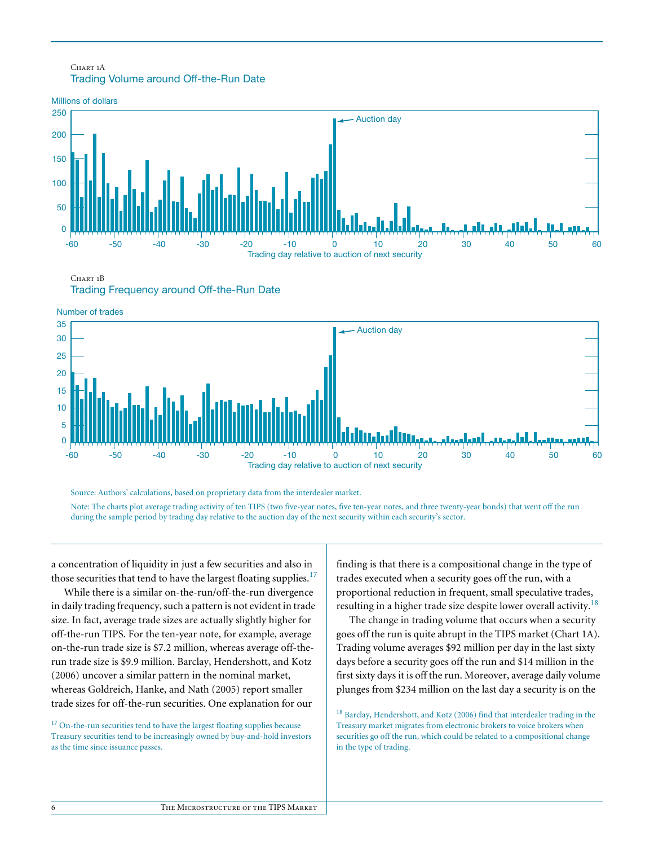## CHART<sub>1</sub>A Trading Volume around Off-the-Run Date



CHART<sub>1</sub>B

Trading Frequency around Off-the-Run Date





Source: Authors' calculations, based on proprietary data from the interdealer market. Note: The charts plot average trading activity of ten TIPS (two five-year notes, five ten-year notes, and three twenty-year bonds) that went off the run during the sample period by trading day relative to the auction day of the next security within each security's sector.

a concentration of liquidity in just a few securities and also in those securities that tend to have the largest floating supplies.<sup>17</sup>

While there is a similar on-the-run/off-the-run divergence in daily trading frequency, such a pattern is not evident in trade size. In fact, average trade sizes are actually slightly higher for off-the-run TIPS. For the ten-year note, for example, average on-the-run trade size is \$7.2 million, whereas average off-therun trade size is \$9.9 million. Barclay, Hendershott, and Kotz (2006) uncover a similar pattern in the nominal market, whereas Goldreich, Hanke, and Nath (2005) report smaller trade sizes for off-the-run securities. One explanation for our

<sup>17</sup> On-the-run securities tend to have the largest floating supplies because Treasury securities tend to be increasingly owned by buy-and-hold investors as the time since issuance passes.

finding is that there is a compositional change in the type of trades executed when a security goes off the run, with a proportional reduction in frequent, small speculative trades, resulting in a higher trade size despite lower overall activity.<sup>18</sup>

The change in trading volume that occurs when a security goes off the run is quite abrupt in the TIPS market (Chart 1A). Trading volume averages \$92 million per day in the last sixty days before a security goes off the run and \$14 million in the first sixty days it is off the run. Moreover, average daily volume plunges from \$234 million on the last day a security is on the

<sup>18</sup> Barclay, Hendershott, and Kotz (2006) find that interdealer trading in the Treasury market migrates from electronic brokers to voice brokers when securities go off the run, which could be related to a compositional change in the type of trading.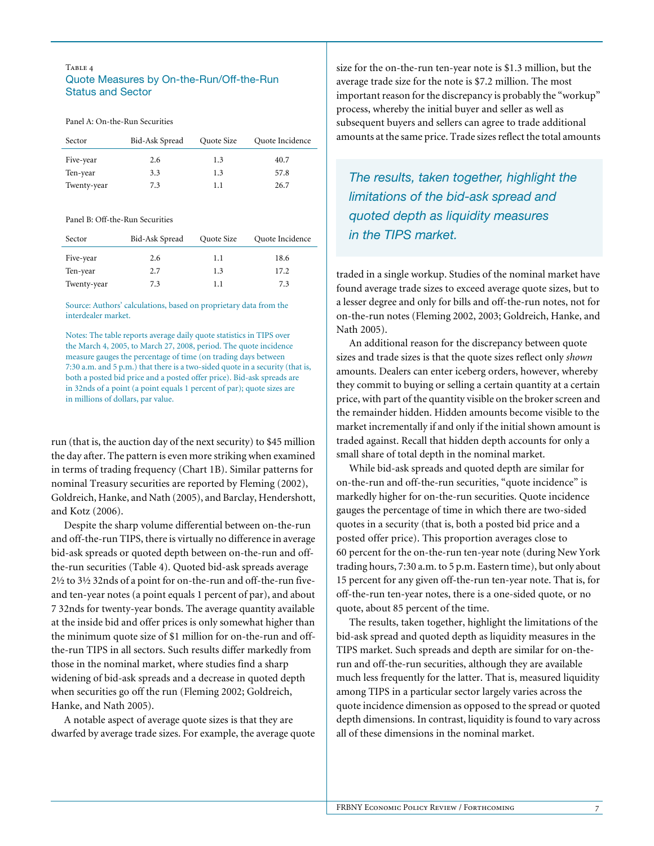#### Table 4 Quote Measures by On-the-Run/Off-the-Run Status and Sector

Panel A: On-the-Run Securities

| Sector      | Bid-Ask Spread | Quote Size | Quote Incidence |
|-------------|----------------|------------|-----------------|
| Five-year   | 2.6            | 1.3        | 40.7            |
| Ten-year    | 3.3            | 1.3        | 57.8            |
| Twenty-year | 7.3            | 1.1        | 26.7            |

#### Panel B: Off-the-Run Securities

| Sector      | Bid-Ask Spread | Quote Size | Quote Incidence |
|-------------|----------------|------------|-----------------|
| Five-year   | 2.6            | 1.1        | 18.6            |
| Ten-year    | 2.7            | 1.3        | 17.2            |
| Twenty-year | 7.3            | 1.1        | 7.3             |

Source: Authors' calculations, based on proprietary data from the interdealer market.

Notes: The table reports average daily quote statistics in TIPS over the March 4, 2005, to March 27, 2008, period. The quote incidence measure gauges the percentage of time (on trading days between 7:30 a.m. and 5 p.m.) that there is a two-sided quote in a security (that is, both a posted bid price and a posted offer price). Bid-ask spreads are in 32nds of a point (a point equals 1 percent of par); quote sizes are in millions of dollars, par value.

run (that is, the auction day of the next security) to \$45 million the day after. The pattern is even more striking when examined in terms of trading frequency (Chart 1B). Similar patterns for nominal Treasury securities are reported by Fleming (2002), Goldreich, Hanke, and Nath (2005), and Barclay, Hendershott, and Kotz (2006).

Despite the sharp volume differential between on-the-run and off-the-run TIPS, there is virtually no difference in average bid-ask spreads or quoted depth between on-the-run and offthe-run securities (Table 4). Quoted bid-ask spreads average 2½ to 3½ 32nds of a point for on-the-run and off-the-run fiveand ten-year notes (a point equals 1 percent of par), and about 7 32nds for twenty-year bonds. The average quantity available at the inside bid and offer prices is only somewhat higher than the minimum quote size of \$1 million for on-the-run and offthe-run TIPS in all sectors. Such results differ markedly from those in the nominal market, where studies find a sharp widening of bid-ask spreads and a decrease in quoted depth when securities go off the run (Fleming 2002; Goldreich, Hanke, and Nath 2005).

A notable aspect of average quote sizes is that they are dwarfed by average trade sizes. For example, the average quote size for the on-the-run ten-year note is \$1.3 million, but the average trade size for the note is \$7.2 million. The most important reason for the discrepancy is probably the "workup" process, whereby the initial buyer and seller as well as subsequent buyers and sellers can agree to trade additional amounts at the same price. Trade sizes reflect the total amounts

*The results, taken together, highlight the limitations of the bid-ask spread and quoted depth as liquidity measures in the TIPS market.* 

traded in a single workup. Studies of the nominal market have found average trade sizes to exceed average quote sizes, but to a lesser degree and only for bills and off-the-run notes, not for on-the-run notes (Fleming 2002, 2003; Goldreich, Hanke, and Nath 2005).

An additional reason for the discrepancy between quote sizes and trade sizes is that the quote sizes reflect only *shown* amounts. Dealers can enter iceberg orders, however, whereby they commit to buying or selling a certain quantity at a certain price, with part of the quantity visible on the broker screen and the remainder hidden. Hidden amounts become visible to the market incrementally if and only if the initial shown amount is traded against. Recall that hidden depth accounts for only a small share of total depth in the nominal market.

While bid-ask spreads and quoted depth are similar for on-the-run and off-the-run securities, "quote incidence" is markedly higher for on-the-run securities. Quote incidence gauges the percentage of time in which there are two-sided quotes in a security (that is, both a posted bid price and a posted offer price). This proportion averages close to 60 percent for the on-the-run ten-year note (during New York trading hours, 7:30 a.m. to 5 p.m. Eastern time), but only about 15 percent for any given off-the-run ten-year note. That is, for off-the-run ten-year notes, there is a one-sided quote, or no quote, about 85 percent of the time.

The results, taken together, highlight the limitations of the bid-ask spread and quoted depth as liquidity measures in the TIPS market. Such spreads and depth are similar for on-therun and off-the-run securities, although they are available much less frequently for the latter. That is, measured liquidity among TIPS in a particular sector largely varies across the quote incidence dimension as opposed to the spread or quoted depth dimensions. In contrast, liquidity is found to vary across all of these dimensions in the nominal market.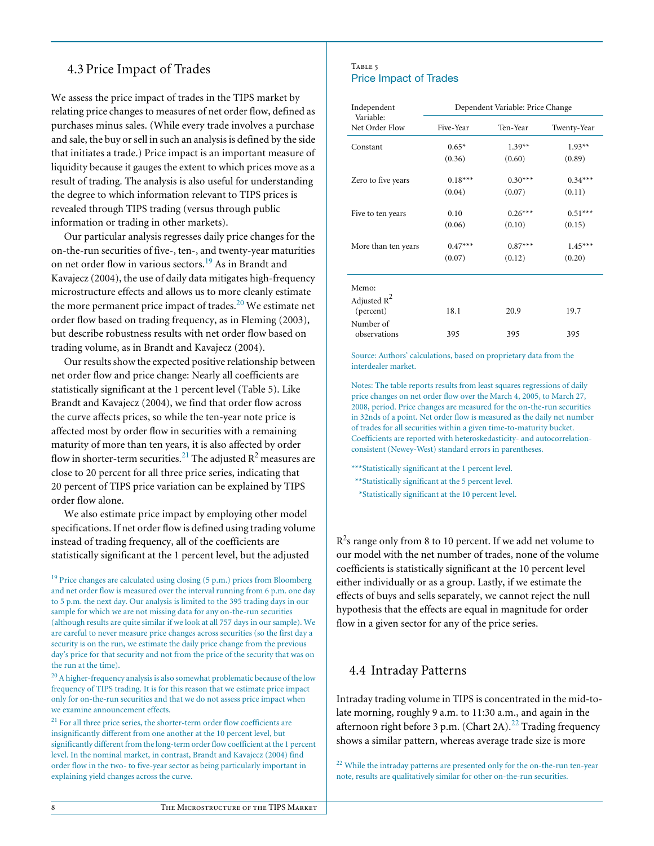# 4.3 Price Impact of Trades

We assess the price impact of trades in the TIPS market by relating price changes to measures of net order flow, defined as purchases minus sales. (While every trade involves a purchase and sale, the buy or sell in such an analysis is defined by the side that initiates a trade.) Price impact is an important measure of liquidity because it gauges the extent to which prices move as a result of trading. The analysis is also useful for understanding the degree to which information relevant to TIPS prices is revealed through TIPS trading (versus through public information or trading in other markets).

Our particular analysis regresses daily price changes for the on-the-run securities of five-, ten-, and twenty-year maturities on net order flow in various sectors.19 As in Brandt and Kavajecz (2004), the use of daily data mitigates high-frequency microstructure effects and allows us to more cleanly estimate the more permanent price impact of trades. $20$  We estimate net order flow based on trading frequency, as in Fleming (2003), but describe robustness results with net order flow based on trading volume, as in Brandt and Kavajecz (2004).

Our results show the expected positive relationship between net order flow and price change: Nearly all coefficients are statistically significant at the 1 percent level (Table 5). Like Brandt and Kavajecz (2004), we find that order flow across the curve affects prices, so while the ten-year note price is affected most by order flow in securities with a remaining maturity of more than ten years, it is also affected by order flow in shorter-term securities. $^{21}$  The adjusted R $^2$  measures are close to 20 percent for all three price series, indicating that 20 percent of TIPS price variation can be explained by TIPS order flow alone.

We also estimate price impact by employing other model specifications. If net order flow is defined using trading volume instead of trading frequency, all of the coefficients are statistically significant at the 1 percent level, but the adjusted

 $^{21}$  For all three price series, the shorter-term order flow coefficients are insignificantly different from one another at the 10 percent level, but significantly different from the long-term order flow coefficient at the 1 percent level. In the nominal market, in contrast, Brandt and Kavajecz (2004) find order flow in the two- to five-year sector as being particularly important in explaining yield changes across the curve.

#### TABLE 5 Price Impact of Trades

| Independent                 | Dependent Variable: Price Change |           |             |  |
|-----------------------------|----------------------------------|-----------|-------------|--|
| Variable:<br>Net Order Flow | Five-Year                        | Ten-Year  | Twenty-Year |  |
| Constant                    | $0.65*$                          | $1.39**$  | $1.93**$    |  |
|                             | (0.36)                           | (0.60)    | (0.89)      |  |
| Zero to five years          | $0.18***$                        | $0.30***$ | $0.34***$   |  |
|                             | (0.04)                           | (0.07)    | (0.11)      |  |
| Five to ten years           | 0.10                             | $0.26***$ | $0.51***$   |  |
|                             | (0.06)                           | (0.10)    | (0.15)      |  |
| More than ten years         | $0.47***$                        | $0.87***$ | $1.45***$   |  |
|                             | (0.07)                           | (0.12)    | (0.20)      |  |

| Memo:<br>Adjusted $R^2$   |      |      |      |
|---------------------------|------|------|------|
| (percent)                 | 18.1 | 20.9 | 19.7 |
| Number of<br>observations | 395  | 395  | 395  |

Source: Authors' calculations, based on proprietary data from the interdealer market.

Notes: The table reports results from least squares regressions of daily price changes on net order flow over the March 4, 2005, to March 27, 2008, period. Price changes are measured for the on-the-run securities in 32nds of a point. Net order flow is measured as the daily net number of trades for all securities within a given time-to-maturity bucket. Coefficients are reported with heteroskedasticity- and autocorrelationconsistent (Newey-West) standard errors in parentheses.

\*\*\*Statistically significant at the 1 percent level.

\*\*Statistically significant at the 5 percent level. \*Statistically significant at the 10 percent level.

 $R^2$ s range only from 8 to 10 percent. If we add net volume to our model with the net number of trades, none of the volume coefficients is statistically significant at the 10 percent level either individually or as a group. Lastly, if we estimate the effects of buys and sells separately, we cannot reject the null hypothesis that the effects are equal in magnitude for order flow in a given sector for any of the price series.

## 4.4 Intraday Patterns

Intraday trading volume in TIPS is concentrated in the mid-tolate morning, roughly 9 a.m. to 11:30 a.m., and again in the afternoon right before 3 p.m. (Chart 2A).<sup>22</sup> Trading frequency shows a similar pattern, whereas average trade size is more

 $22$  While the intraday patterns are presented only for the on-the-run ten-year note, results are qualitatively similar for other on-the-run securities.

 $19$  Price changes are calculated using closing (5 p.m.) prices from Bloomberg and net order flow is measured over the interval running from 6 p.m. one day to 5 p.m. the next day. Our analysis is limited to the 395 trading days in our sample for which we are not missing data for any on-the-run securities (although results are quite similar if we look at all 757 days in our sample). We are careful to never measure price changes across securities (so the first day a security is on the run, we estimate the daily price change from the previous day's price for that security and not from the price of the security that was on the run at the time).

 $^{20}$  A higher-frequency analysis is also somewhat problematic because of the low frequency of TIPS trading. It is for this reason that we estimate price impact only for on-the-run securities and that we do not assess price impact when we examine announcement effects.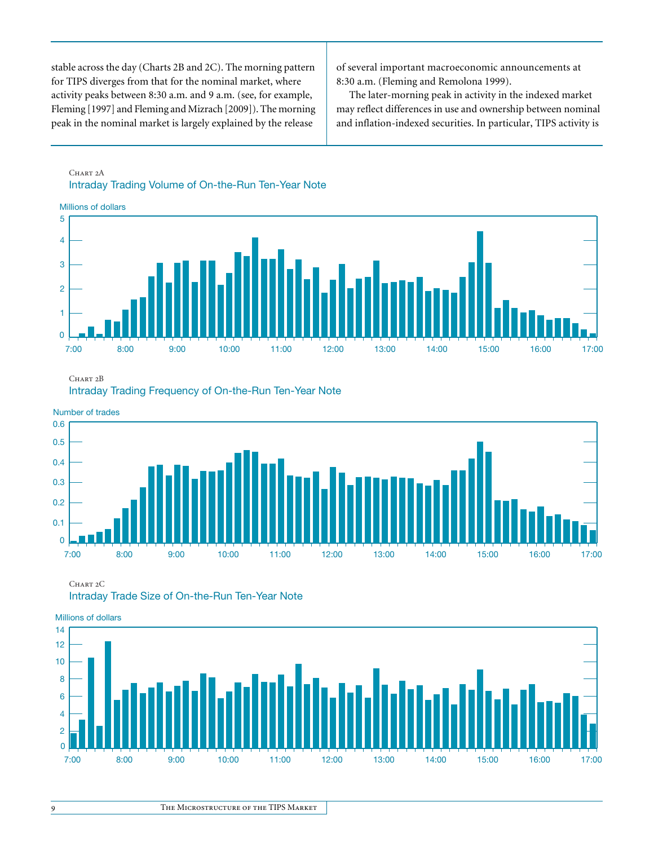stable across the day (Charts 2B and 2C). The morning pattern for TIPS diverges from that for the nominal market, where activity peaks between 8:30 a.m. and 9 a.m. (see, for example, Fleming [1997] and Fleming and Mizrach [2009]). The morning peak in the nominal market is largely explained by the release

of several important macroeconomic announcements at 8:30 a.m. (Fleming and Remolona 1999).

The later-morning peak in activity in the indexed market may reflect differences in use and ownership between nominal and inflation-indexed securities. In particular, TIPS activity is

## CHART<sub>2</sub>A Intraday Trading Volume of On-the-Run Ten-Year Note



CHART<sub>2</sub>B

Intraday Trading Frequency of On-the-Run Ten-Year Note



CHART<sub>2</sub>C Intraday Trade Size of On-the-Run Ten-Year Note



Millions of dollars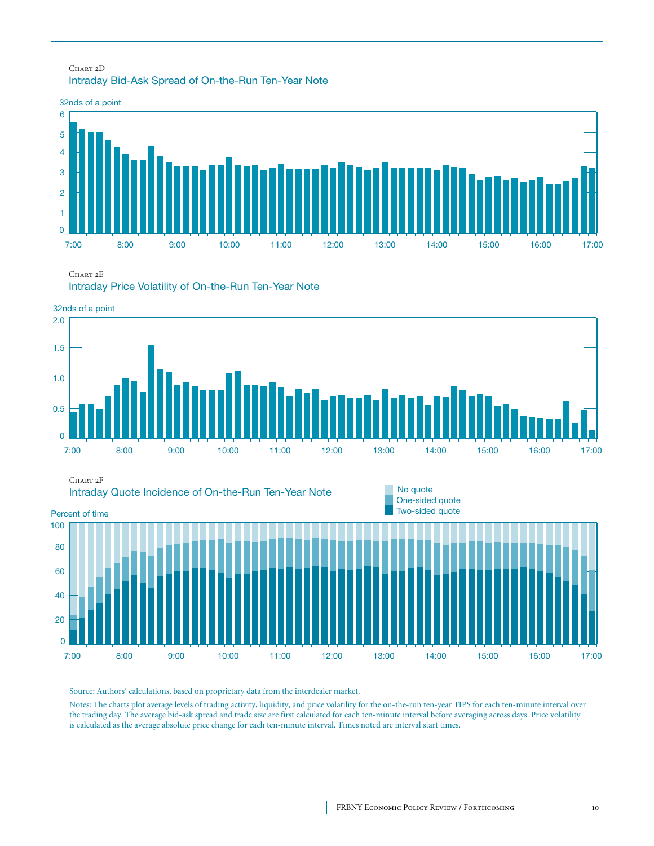## CHART 2D Intraday Bid-Ask Spread of On-the-Run Ten-Year Note



CHART<sub>2</sub>E

Intraday Price Volatility of On-the-Run Ten-Year Note



Source: Authors' calculations, based on proprietary data from the interdealer market.

Notes: The charts plot average levels of trading activity, liquidity, and price volatility for the on-the-run ten-year TIPS for each ten-minute interval over the trading day. The average bid-ask spread and trade size are first calculated for each ten-minute interval before averaging across days. Price volatility is calculated as the average absolute price change for each ten-minute interval. Times noted are interval start times.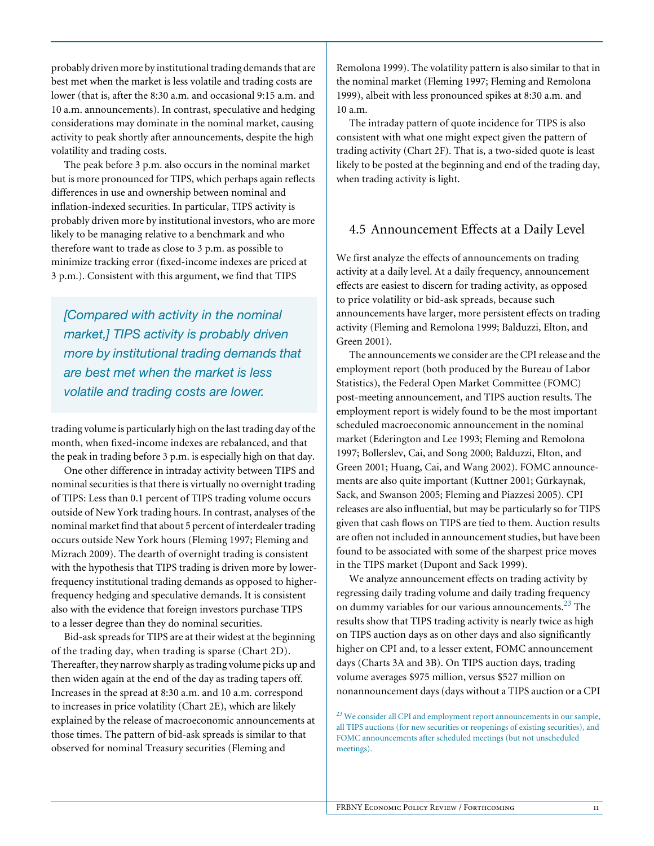probably driven more by institutional trading demands that are best met when the market is less volatile and trading costs are lower (that is, after the 8:30 a.m. and occasional 9:15 a.m. and 10 a.m. announcements). In contrast, speculative and hedging considerations may dominate in the nominal market, causing activity to peak shortly after announcements, despite the high volatility and trading costs.

The peak before 3 p.m. also occurs in the nominal market but is more pronounced for TIPS, which perhaps again reflects differences in use and ownership between nominal and inflation-indexed securities. In particular, TIPS activity is probably driven more by institutional investors, who are more likely to be managing relative to a benchmark and who therefore want to trade as close to 3 p.m. as possible to minimize tracking error (fixed-income indexes are priced at 3 p.m.). Consistent with this argument, we find that TIPS

*[Compared with activity in the nominal market,] TIPS activity is probably driven more by institutional trading demands that are best met when the market is less volatile and trading costs are lower.*

trading volume is particularly high on the last trading day of the month, when fixed-income indexes are rebalanced, and that the peak in trading before 3 p.m. is especially high on that day.

One other difference in intraday activity between TIPS and nominal securities is that there is virtually no overnight trading of TIPS: Less than 0.1 percent of TIPS trading volume occurs outside of New York trading hours. In contrast, analyses of the nominal market find that about 5 percent of interdealer trading occurs outside New York hours (Fleming 1997; Fleming and Mizrach 2009). The dearth of overnight trading is consistent with the hypothesis that TIPS trading is driven more by lowerfrequency institutional trading demands as opposed to higherfrequency hedging and speculative demands. It is consistent also with the evidence that foreign investors purchase TIPS to a lesser degree than they do nominal securities.

Bid-ask spreads for TIPS are at their widest at the beginning of the trading day, when trading is sparse (Chart 2D). Thereafter, they narrow sharply as trading volume picks up and then widen again at the end of the day as trading tapers off. Increases in the spread at 8:30 a.m. and 10 a.m. correspond to increases in price volatility (Chart 2E), which are likely explained by the release of macroeconomic announcements at those times. The pattern of bid-ask spreads is similar to that observed for nominal Treasury securities (Fleming and

Remolona 1999). The volatility pattern is also similar to that in the nominal market (Fleming 1997; Fleming and Remolona 1999), albeit with less pronounced spikes at 8:30 a.m. and 10 a.m.

The intraday pattern of quote incidence for TIPS is also consistent with what one might expect given the pattern of trading activity (Chart 2F). That is, a two-sided quote is least likely to be posted at the beginning and end of the trading day, when trading activity is light.

## 4.5 Announcement Effects at a Daily Level

We first analyze the effects of announcements on trading activity at a daily level. At a daily frequency, announcement effects are easiest to discern for trading activity, as opposed to price volatility or bid-ask spreads, because such announcements have larger, more persistent effects on trading activity (Fleming and Remolona 1999; Balduzzi, Elton, and Green 2001).

The announcements we consider are the CPI release and the employment report (both produced by the Bureau of Labor Statistics), the Federal Open Market Committee (FOMC) post-meeting announcement, and TIPS auction results. The employment report is widely found to be the most important scheduled macroeconomic announcement in the nominal market (Ederington and Lee 1993; Fleming and Remolona 1997; Bollerslev, Cai, and Song 2000; Balduzzi, Elton, and Green 2001; Huang, Cai, and Wang 2002). FOMC announcements are also quite important (Kuttner 2001; Gürkaynak, Sack, and Swanson 2005; Fleming and Piazzesi 2005). CPI releases are also influential, but may be particularly so for TIPS given that cash flows on TIPS are tied to them. Auction results are often not included in announcement studies, but have been found to be associated with some of the sharpest price moves in the TIPS market (Dupont and Sack 1999).

We analyze announcement effects on trading activity by regressing daily trading volume and daily trading frequency on dummy variables for our various announcements.<sup>23</sup> The results show that TIPS trading activity is nearly twice as high on TIPS auction days as on other days and also significantly higher on CPI and, to a lesser extent, FOMC announcement days (Charts 3A and 3B). On TIPS auction days, trading volume averages \$975 million, versus \$527 million on nonannouncement days (days without a TIPS auction or a CPI

<sup>23</sup> We consider all CPI and employment report announcements in our sample, all TIPS auctions (for new securities or reopenings of existing securities), and FOMC announcements after scheduled meetings (but not unscheduled meetings).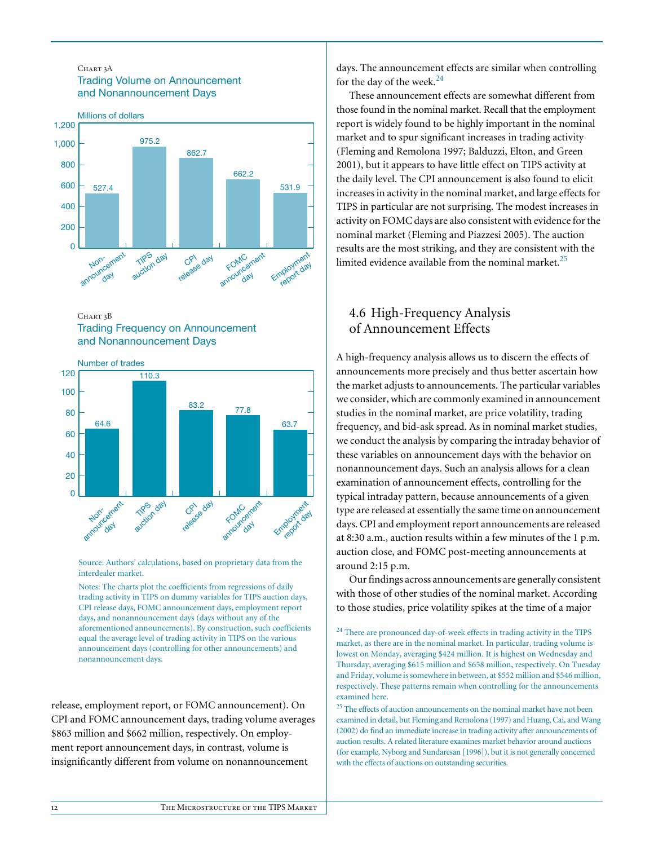### CHART 3A Trading Volume on Announcement and Nonannouncement Days



CHART 3B Trading Frequency on Announcement and Nonannouncement Days



Source: Authors' calculations, based on proprietary data from the interdealer market.

Notes: The charts plot the coefficients from regressions of daily trading activity in TIPS on dummy variables for TIPS auction days, CPI release days, FOMC announcement days, employment report days, and nonannouncement days (days without any of the aforementioned announcements). By construction, such coefficients equal the average level of trading activity in TIPS on the various announcement days (controlling for other announcements) and nonannouncement days.

release, employment report, or FOMC announcement). On CPI and FOMC announcement days, trading volume averages \$863 million and \$662 million, respectively. On employment report announcement days, in contrast, volume is insignificantly different from volume on nonannouncement

days. The announcement effects are similar when controlling for the day of the week. $24$ 

These announcement effects are somewhat different from those found in the nominal market. Recall that the employment report is widely found to be highly important in the nominal market and to spur significant increases in trading activity (Fleming and Remolona 1997; Balduzzi, Elton, and Green 2001), but it appears to have little effect on TIPS activity at the daily level. The CPI announcement is also found to elicit increases in activity in the nominal market, and large effects for TIPS in particular are not surprising. The modest increases in activity on FOMC days are also consistent with evidence for the nominal market (Fleming and Piazzesi 2005). The auction results are the most striking, and they are consistent with the limited evidence available from the nominal market.<sup>25</sup>

# 4.6 High-Frequency Analysis of Announcement Effects

A high-frequency analysis allows us to discern the effects of announcements more precisely and thus better ascertain how the market adjusts to announcements. The particular variables we consider, which are commonly examined in announcement studies in the nominal market, are price volatility, trading frequency, and bid-ask spread. As in nominal market studies, we conduct the analysis by comparing the intraday behavior of these variables on announcement days with the behavior on nonannouncement days. Such an analysis allows for a clean examination of announcement effects, controlling for the typical intraday pattern, because announcements of a given type are released at essentially the same time on announcement days. CPI and employment report announcements are released at 8:30 a.m., auction results within a few minutes of the 1 p.m. auction close, and FOMC post-meeting announcements at around 2:15 p.m.

Our findings across announcements are generally consistent with those of other studies of the nominal market. According to those studies, price volatility spikes at the time of a major

 $^{24}$  There are pronounced day-of-week effects in trading activity in the TIPS market, as there are in the nominal market. In particular, trading volume is lowest on Monday, averaging \$424 million. It is highest on Wednesday and Thursday, averaging \$615 million and \$658 million, respectively. On Tuesday and Friday, volume is somewhere in between, at \$552 million and \$546 million, respectively. These patterns remain when controlling for the announcements examined here.

 $^{\mathrm{25}}$  The effects of auction announcements on the nominal market have not been examined in detail, but Fleming and Remolona (1997) and Huang, Cai, and Wang (2002) do find an immediate increase in trading activity after announcements of auction results. A related literature examines market behavior around auctions (for example, Nyborg and Sundaresan [1996]), but it is not generally concerned with the effects of auctions on outstanding securities.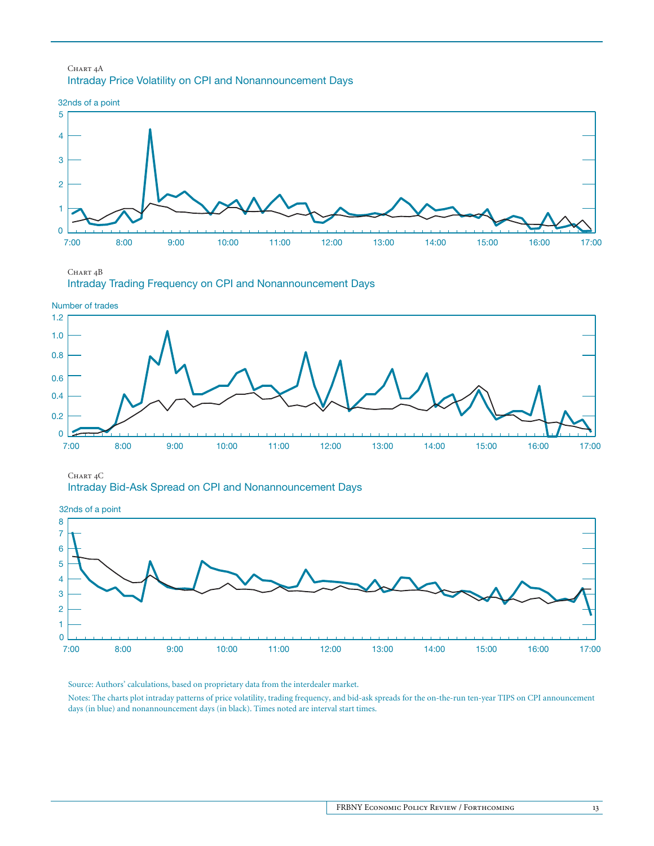### CHART<sub>4</sub>A Intraday Price Volatility on CPI and Nonannouncement Days



CHART<sub>4</sub>B Intraday Trading Frequency on CPI and Nonannouncement Days



CHART<sub>4</sub>C Intraday Bid-Ask Spread on CPI and Nonannouncement Days

32nds of a point



Source: Authors' calculations, based on proprietary data from the interdealer market.

Notes: The charts plot intraday patterns of price volatility, trading frequency, and bid-ask spreads for the on-the-run ten-year TIPS on CPI announcement days (in blue) and nonannouncement days (in black). Times noted are interval start times.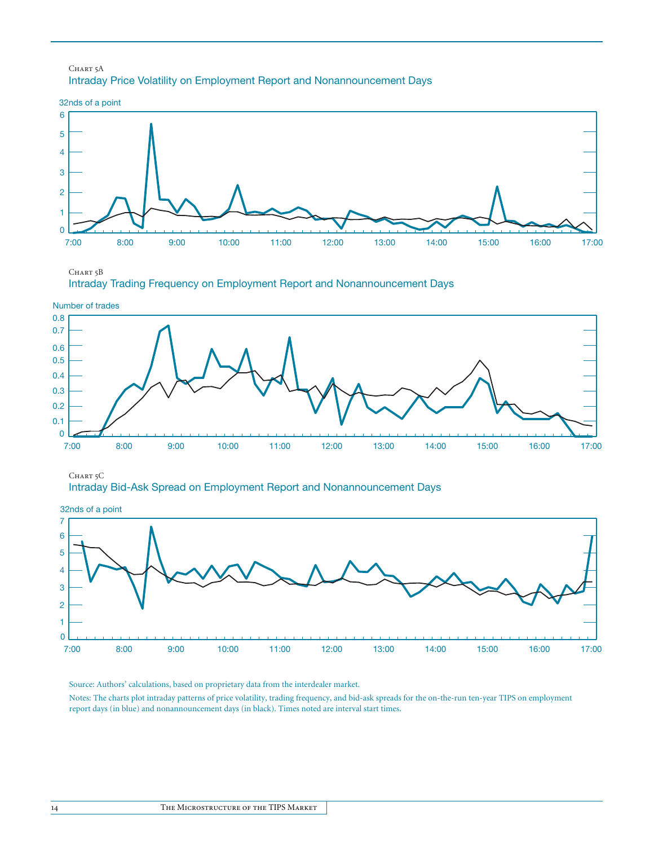### CHART 5A Intraday Price Volatility on Employment Report and Nonannouncement Days



CHART 5B Intraday Trading Frequency on Employment Report and Nonannouncement Days



CHART<sub>5</sub>C

Intraday Bid-Ask Spread on Employment Report and Nonannouncement Days



Source: Authors' calculations, based on proprietary data from the interdealer market.

Notes: The charts plot intraday patterns of price volatility, trading frequency, and bid-ask spreads for the on-the-run ten-year TIPS on employment report days (in blue) and nonannouncement days (in black). Times noted are interval start times.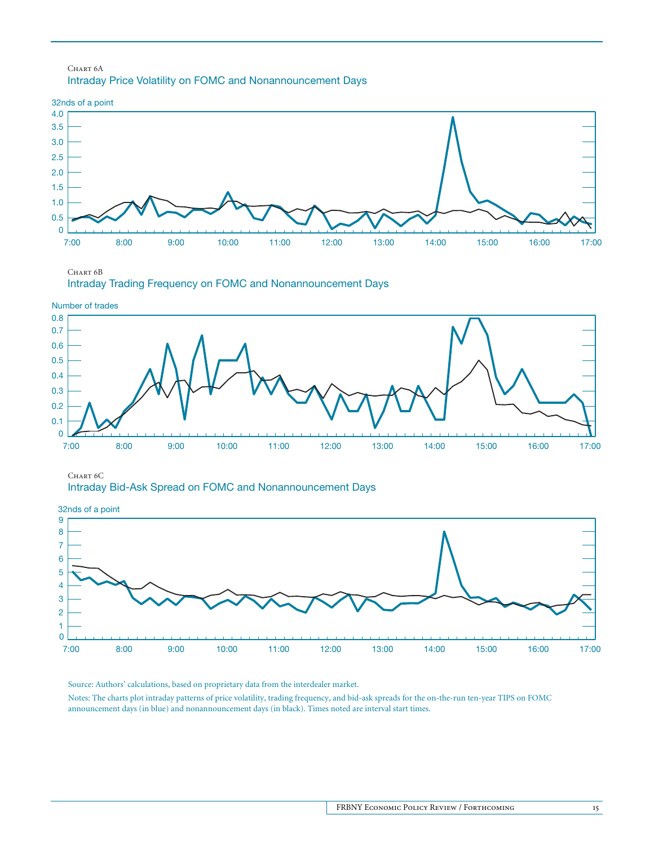#### CHART<sub>6</sub>A Intraday Price Volatility on FOMC and Nonannouncement Days



CHART<sub>6B</sub> Intraday Trading Frequency on FOMC and Nonannouncement Days





CHART<sub>6</sub>C



0 1 2 3 4 5 6 7 8 9 7:00 8:00 9:00 10:00 11:00 12:00 13:00 14:00 15:00 16:00 17:00 32nds of a point

Source: Authors' calculations, based on proprietary data from the interdealer market.

Notes: The charts plot intraday patterns of price volatility, trading frequency, and bid-ask spreads for the on-the-run ten-year TIPS on FOMC announcement days (in blue) and nonannouncement days (in black). Times noted are interval start times.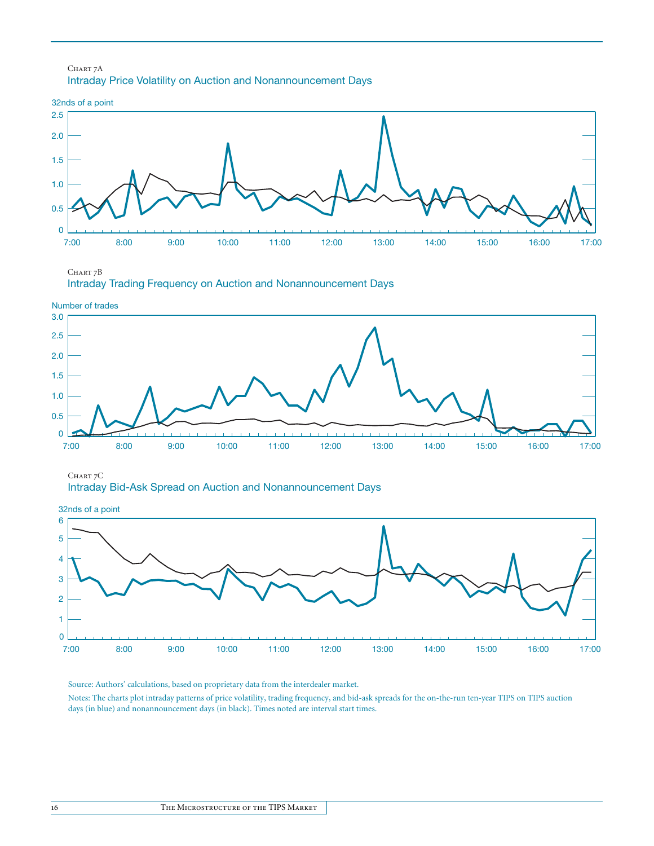#### CHART 7A Intraday Price Volatility on Auction and Nonannouncement Days



CHART 7B Intraday Trading Frequency on Auction and Nonannouncement Days



CHART 7C Intraday Bid-Ask Spread on Auction and Nonannouncement Days

0 1 2 3 4 5 6 7:00 8:00 9:00 10:00 11:00 12:00 13:00 14:00 15:00 16:00 17:00 32nds of a point

Source: Authors' calculations, based on proprietary data from the interdealer market.

Notes: The charts plot intraday patterns of price volatility, trading frequency, and bid-ask spreads for the on-the-run ten-year TIPS on TIPS auction days (in blue) and nonannouncement days (in black). Times noted are interval start times.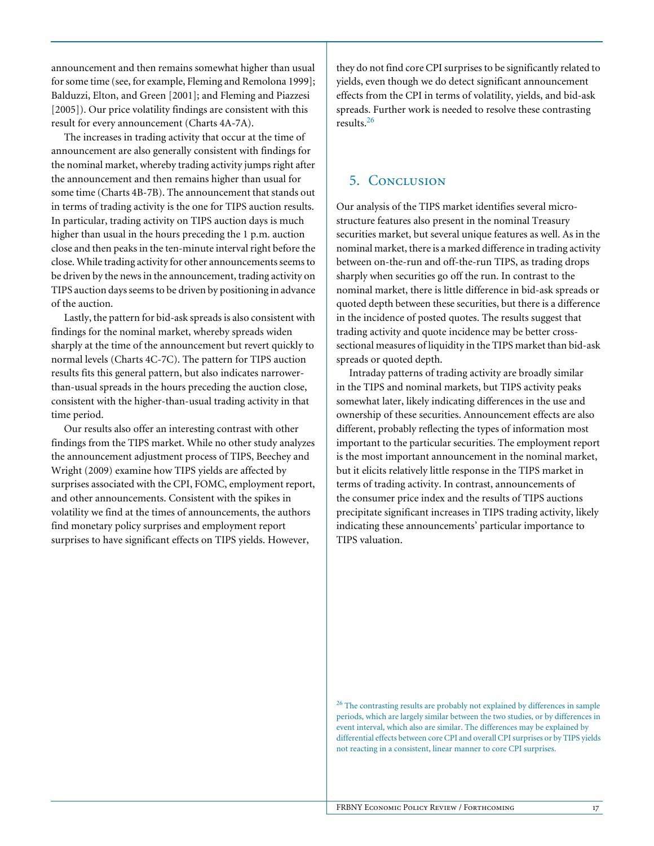announcement and then remains somewhat higher than usual for some time (see, for example, Fleming and Remolona 1999]; Balduzzi, Elton, and Green [2001]; and Fleming and Piazzesi [2005]). Our price volatility findings are consistent with this result for every announcement (Charts 4A-7A).

The increases in trading activity that occur at the time of announcement are also generally consistent with findings for the nominal market, whereby trading activity jumps right after the announcement and then remains higher than usual for some time (Charts 4B-7B). The announcement that stands out in terms of trading activity is the one for TIPS auction results. In particular, trading activity on TIPS auction days is much higher than usual in the hours preceding the 1 p.m. auction close and then peaks in the ten-minute interval right before the close. While trading activity for other announcements seems to be driven by the news in the announcement, trading activity on TIPS auction days seems to be driven by positioning in advance of the auction.

Lastly, the pattern for bid-ask spreads is also consistent with findings for the nominal market, whereby spreads widen sharply at the time of the announcement but revert quickly to normal levels (Charts 4C-7C). The pattern for TIPS auction results fits this general pattern, but also indicates narrowerthan-usual spreads in the hours preceding the auction close, consistent with the higher-than-usual trading activity in that time period.

Our results also offer an interesting contrast with other findings from the TIPS market. While no other study analyzes the announcement adjustment process of TIPS, Beechey and Wright (2009) examine how TIPS yields are affected by surprises associated with the CPI, FOMC, employment report, and other announcements. Consistent with the spikes in volatility we find at the times of announcements, the authors find monetary policy surprises and employment report surprises to have significant effects on TIPS yields. However,

they do not find core CPI surprises to be significantly related to yields, even though we do detect significant announcement effects from the CPI in terms of volatility, yields, and bid-ask spreads. Further work is needed to resolve these contrasting results.<sup>26</sup>

## 5. Conclusion

Our analysis of the TIPS market identifies several microstructure features also present in the nominal Treasury securities market, but several unique features as well. As in the nominal market, there is a marked difference in trading activity between on-the-run and off-the-run TIPS, as trading drops sharply when securities go off the run. In contrast to the nominal market, there is little difference in bid-ask spreads or quoted depth between these securities, but there is a difference in the incidence of posted quotes. The results suggest that trading activity and quote incidence may be better crosssectional measures of liquidity in the TIPS market than bid-ask spreads or quoted depth.

Intraday patterns of trading activity are broadly similar in the TIPS and nominal markets, but TIPS activity peaks somewhat later, likely indicating differences in the use and ownership of these securities. Announcement effects are also different, probably reflecting the types of information most important to the particular securities. The employment report is the most important announcement in the nominal market, but it elicits relatively little response in the TIPS market in terms of trading activity. In contrast, announcements of the consumer price index and the results of TIPS auctions precipitate significant increases in TIPS trading activity, likely indicating these announcements' particular importance to TIPS valuation.

 $26$  The contrasting results are probably not explained by differences in sample periods, which are largely similar between the two studies, or by differences in event interval, which also are similar. The differences may be explained by differential effects between core CPI and overall CPI surprises or by TIPS yields not reacting in a consistent, linear manner to core CPI surprises.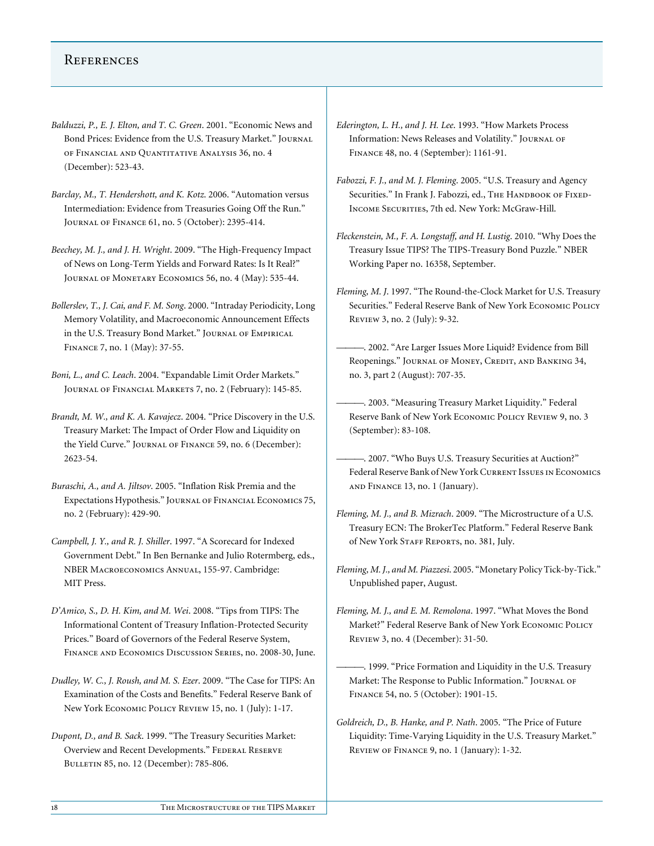## **REFERENCES**

- *Balduzzi, P., E. J. Elton, and T. C. Green*. 2001. "Economic News and Bond Prices: Evidence from the U.S. Treasury Market." Journal of Financial and Quantitative Analysis 36, no. 4 (December): 523-43.
- *Barclay, M., T. Hendershott, and K. Kotz*. 2006. "Automation versus Intermediation: Evidence from Treasuries Going Off the Run." Journal of Finance 61, no. 5 (October): 2395-414.
- *Beechey, M. J., and J. H. Wright*. 2009. "The High-Frequency Impact of News on Long-Term Yields and Forward Rates: Is It Real?" JOURNAL OF MONETARY ECONOMICS 56, no. 4 (May): 535-44.
- *Bollerslev, T., J. Cai, and F. M. Song*. 2000. "Intraday Periodicity, Long Memory Volatility, and Macroeconomic Announcement Effects in the U.S. Treasury Bond Market." Journal of Empirical Finance 7, no. 1 (May): 37-55.
- *Boni, L., and C. Leach*. 2004. "Expandable Limit Order Markets." Journal of Financial Markets 7, no. 2 (February): 145-85.
- *Brandt, M. W., and K. A. Kavajecz*. 2004. "Price Discovery in the U.S. Treasury Market: The Impact of Order Flow and Liquidity on the Yield Curve." Journal of Finance 59, no. 6 (December): 2623-54.
- *Buraschi, A., and A. Jiltsov*. 2005. "Inflation Risk Premia and the Expectations Hypothesis." Journal of Financial Economics 75, no. 2 (February): 429-90.
- *Campbell, J. Y., and R. J. Shiller*. 1997. "A Scorecard for Indexed Government Debt." In Ben Bernanke and Julio Rotermberg, eds., NBER Macroeconomics Annual, 155-97. Cambridge: MIT Press.
- *D'Amico, S., D. H. Kim, and M. Wei*. 2008. "Tips from TIPS: The Informational Content of Treasury Inflation-Protected Security Prices." Board of Governors of the Federal Reserve System, Finance and Economics Discussion Series, no. 2008-30, June.
- *Dudley, W. C., J. Roush, and M. S. Ezer*. 2009. "The Case for TIPS: An Examination of the Costs and Benefits." Federal Reserve Bank of New York Economic Policy Review 15, no. 1 (July): 1-17.
- *Dupont, D., and B. Sack*. 1999. "The Treasury Securities Market: Overview and Recent Developments." FEDERAL RESERVE Bulletin 85, no. 12 (December): 785-806.
- *Ederington, L. H., and J. H. Lee*. 1993. "How Markets Process Information: News Releases and Volatility." JOURNAL OF Finance 48, no. 4 (September): 1161-91.
- *Fabozzi, F. J., and M. J. Fleming*. 2005. "U.S. Treasury and Agency Securities." In Frank J. Fabozzi, ed., THE HANDBOOK OF FIXED-Income Securities, 7th ed. New York: McGraw-Hill.
- *Fleckenstein, M., F. A. Longstaff, and H. Lustig*. 2010. "Why Does the Treasury Issue TIPS? The TIPS-Treasury Bond Puzzle." NBER Working Paper no. 16358, September.
- *Fleming, M. J*. 1997. "The Round-the-Clock Market for U.S. Treasury Securities." Federal Reserve Bank of New York ECONOMIC POLICY Review 3, no. 2 (July): 9-32.
	- -. 2002. "Are Larger Issues More Liquid? Evidence from Bill Reopenings." JOURNAL OF MONEY, CREDIT, AND BANKING 34, no. 3, part 2 (August): 707-35.
	- ———. 2003. "Measuring Treasury Market Liquidity." Federal Reserve Bank of New York Economic Policy Review 9, no. 3 (September): 83-108.
	- . 2007. "Who Buys U.S. Treasury Securities at Auction?" Federal Reserve Bank of New York Current Issues in Economics and Finance 13, no. 1 (January).
- *Fleming, M. J., and B. Mizrach*. 2009. "The Microstructure of a U.S. Treasury ECN: The BrokerTec Platform." Federal Reserve Bank of New York Staff Reports, no. 381*,* July.
- *Fleming, M. J., and M. Piazzesi*. 2005. "Monetary Policy Tick-by-Tick." Unpublished paper, August.
- *Fleming, M. J., and E. M. Remolona*. 1997. "What Moves the Bond Market?" Federal Reserve Bank of New York Economic Policy Review 3, no. 4 (December): 31-50.
	- ———. 1999. "Price Formation and Liquidity in the U.S. Treasury Market: The Response to Public Information." Journal of Finance 54, no. 5 (October): 1901-15.
- *Goldreich, D., B. Hanke, and P. Nath*. 2005. "The Price of Future Liquidity: Time-Varying Liquidity in the U.S. Treasury Market." Review of Finance 9, no. 1 (January): 1-32.